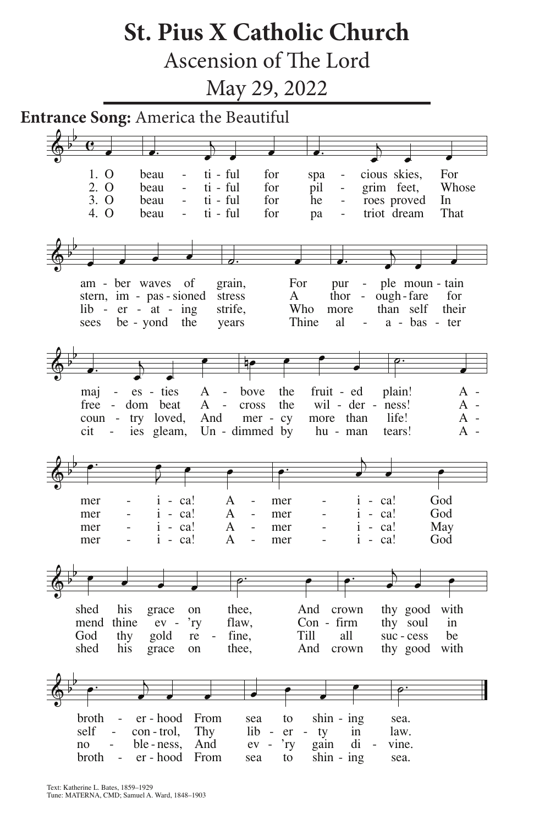# **St. Pius X Catholic Church**

Ascension of The Lord

May 29, 2022

For

**In** 

That

for

their

А

A -

A -

 $A -$ 

a - bas - ter

life!

Whose

Entrance Song: America the Beautiful  $ti - ful$  $1\Omega$ hean  $for$ cious skies. spa  $2.0$  $ti - ful$ beau for pil grim feet,  $\overline{a}$  $3.0$ heau  $ti - ful$ for he roes proved  $4\Omega$ heau  $ti - ful$ for triot dream  $\overline{a}$ pa L, ple moun - tain grain. For am - ber waves of pur stern, im - pas - sioned stress A  $thor$ ough-fare Who  $lib - er - at - ing$ strife. more than self sees be - yond the years Thine al A maj  $es - ties$  $\overline{\phantom{m}}$ bove the fruit - ed plain! free - dom beat cross the wil - der - ness!  $A -$ And more than coun - try loved, mer - cy Un - dimmed by ies gleam, hu - man tears! cit  $\sim 10^{-1}$ 

 $\mathbf{i}$  $- ca!$  $\overline{A}$ mer ca! God mer i God mer i  $- ca!$  $\overline{A}$ mer i  $-$  ca! i - ca! A  $i -$ May mer mer ca! mer  $i$  $ca<sup>1</sup>$  $\overline{A}$ mer i  $ca<sup>1</sup>$ God shed his grace on thee, And crown thy good with mend thine  $r<sub>Y</sub>$ flaw.  $Con$  - firm thy soul in  $ev -$ God thy gold re fine. Till all suc - cess be shed his grace thee. And crown thy good with on broth er - hood From  $sin - ing$ sea to sea. self con - trol. Thy  $lib$ er ty in law. ble - ness, And di vine. no  $ev$  $r<sub>Y</sub>$ gain broth er-hood From  $sin - ing$  $\mathbb{Z}^2$ sea to sea.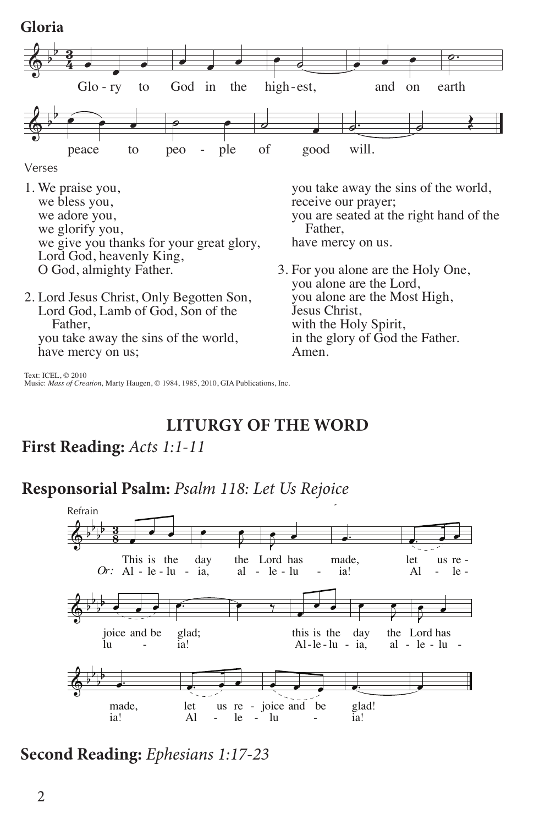



Verses

- 1. We praise you, we bless you,<br>we adore you, we glorify you, we give you thanks for your great glory, Lord God, heavenly King, O God, almighty Father.
- 2. Lord Jesus Christ, Only Begotten Son, Lord God, Lamb of God, Son of the Father, you take away the sins of the world, have mercy on us;

 you take away the sins of the world, receive our prayer; you are seated at the right hand of the Father, have mercy on us.

3. For you alone are the Holy One, you alone are the Lord, you alone are the Most High, Jesus Christ, with the Holy Spirit, in the glory of God the Father. Amen.

Text: ICEL, © 2010 Music: *Mass of Creation,* Marty Haugen, © 1984, 1985, 2010, GIA Publications, Inc.

## **LITURGY OF THE WORD**

#### **First Reading:** *Acts 1:1-11*

**Responsorial Psalm:** *Psalm 118: Let Us Rejoice* Psalm 118: Let Us Rejoice



**Second Reading:** *Ephesians 1:17-23*  $\frac{1}{\sqrt{1}}$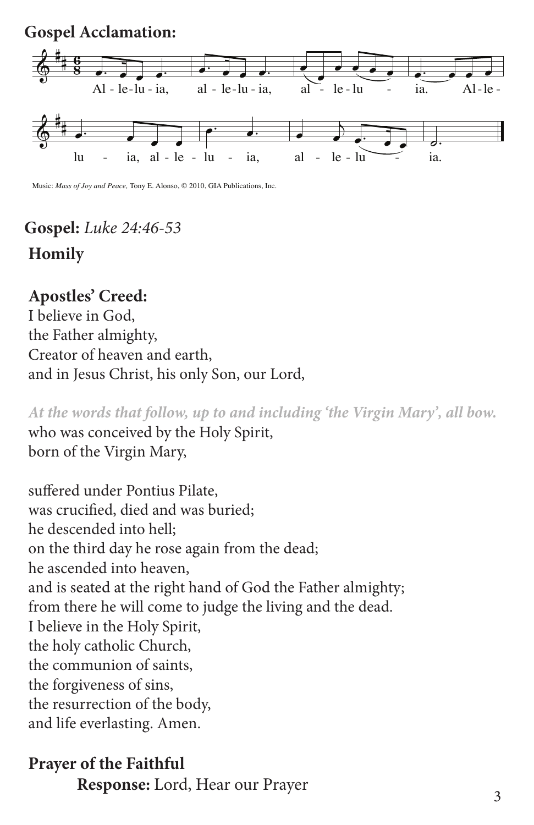**Gospel Acclamation:** 



Music: Mass of Joy and Peace, Tony E. Alonso, @ 2010, GIA Publications, Inc.

## Gospel: Luke 24:46-53 **Homily**

### **Apostles' Creed:**

I believe in God. the Father almighty, Creator of heaven and earth, and in Jesus Christ, his only Son, our Lord,

At the words that follow, up to and including 'the Virgin Mary', all bow. who was conceived by the Holy Spirit, born of the Virgin Mary,

suffered under Pontius Pilate, was crucified, died and was buried; he descended into hell; on the third day he rose again from the dead; he ascended into heaven, and is seated at the right hand of God the Father almighty; from there he will come to judge the living and the dead. I believe in the Holy Spirit, the holy catholic Church, the communion of saints. the forgiveness of sins, the resurrection of the body, and life everlasting. Amen.

## **Prayer of the Faithful**

Response: Lord, Hear our Prayer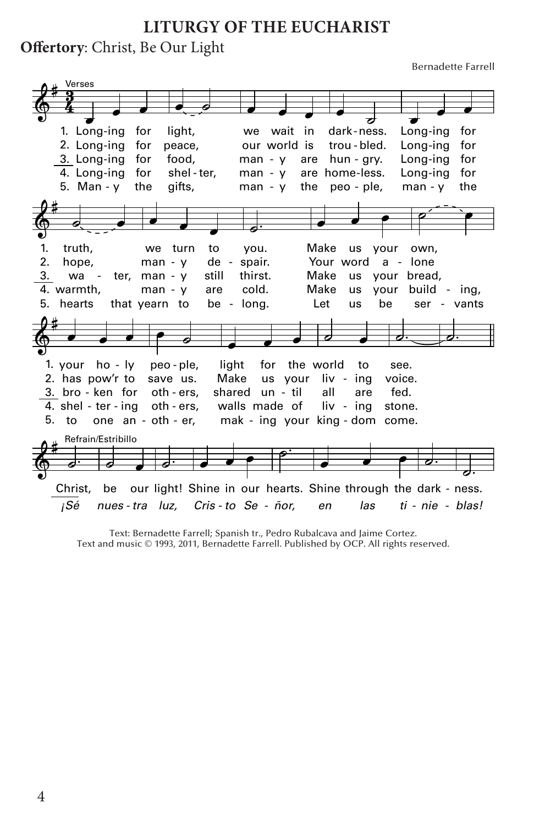#### **LITURGY OF THE EUCHARIST**

**Offertory**: Christ, Be Our Light

Bernadette Farrell



Text: Bernadette Farrell; Spanish tr., Pedro Rubalcava and Jaime Cortez. Text and music © 1993, 2011, Bernadette Farrell. Published by OCP. All rights reserved.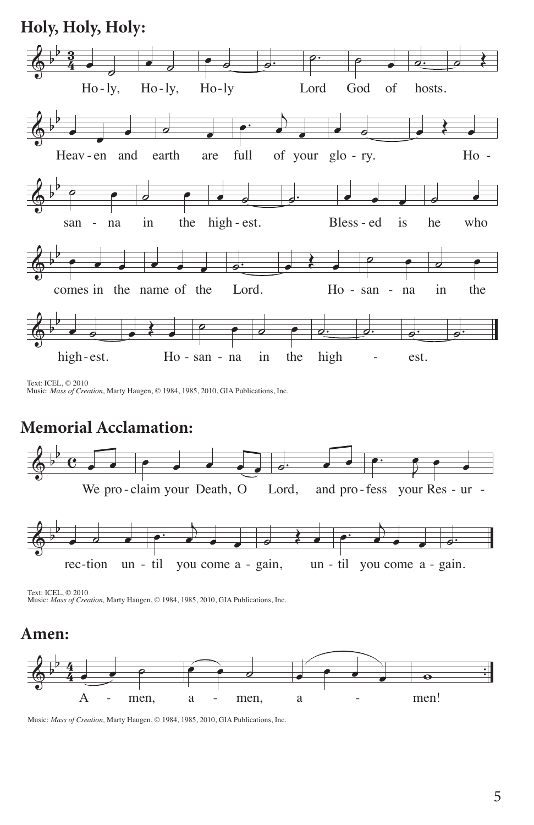

Text: ICEL, © 2010 Music: *Mass of Creation,* Marty Haugen, © 1984, 1985, 2010, GIA Publications, Inc.

## **Memorial Acclamation:**



Text: ICEL, © 2010 Music: *Mass of Creation,* Marty Haugen, © 1984, 1985, 2010, GIA Publications, Inc.

#### **Amen:** Amen



Music: *Mass of Creation,* Marty Haugen, © 1984, 1985, 2010, GIA Publications, Inc.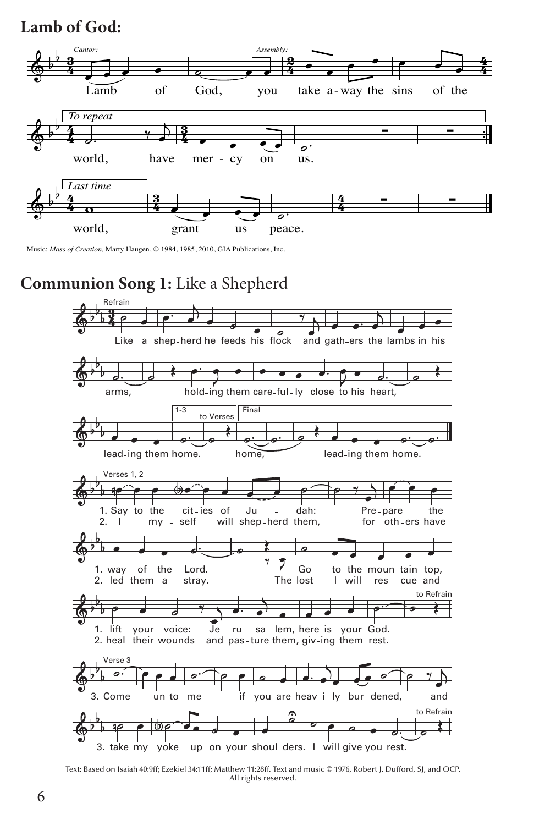## **Lamb of God:**



Music: *Mass of Creation,* Marty Haugen, © 1984, 1985, 2010, GIA Publications, Inc.

## **Communion Song 1:** Like a Shepherd **Like a Shepherd**



Text: Based on Isaiah 40:9ff; Ezekiel 34:11ff; Matthew 11:28ff. Text and music © 1976, Robert J. Dufford, SJ, and OCP. All rights reserved.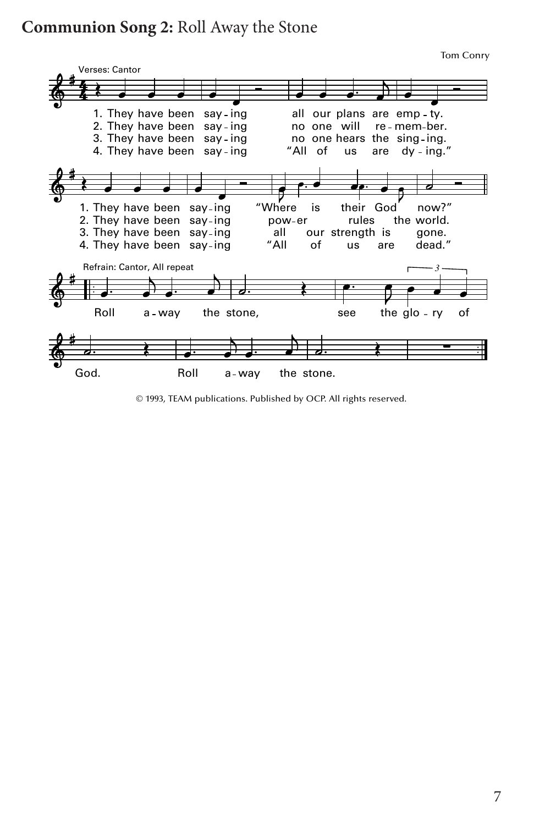## **Communion Song 2:** Roll Away the Stone

Tom Conry



© 1993, TEAM publications. Published by OCP. All rights reserved.